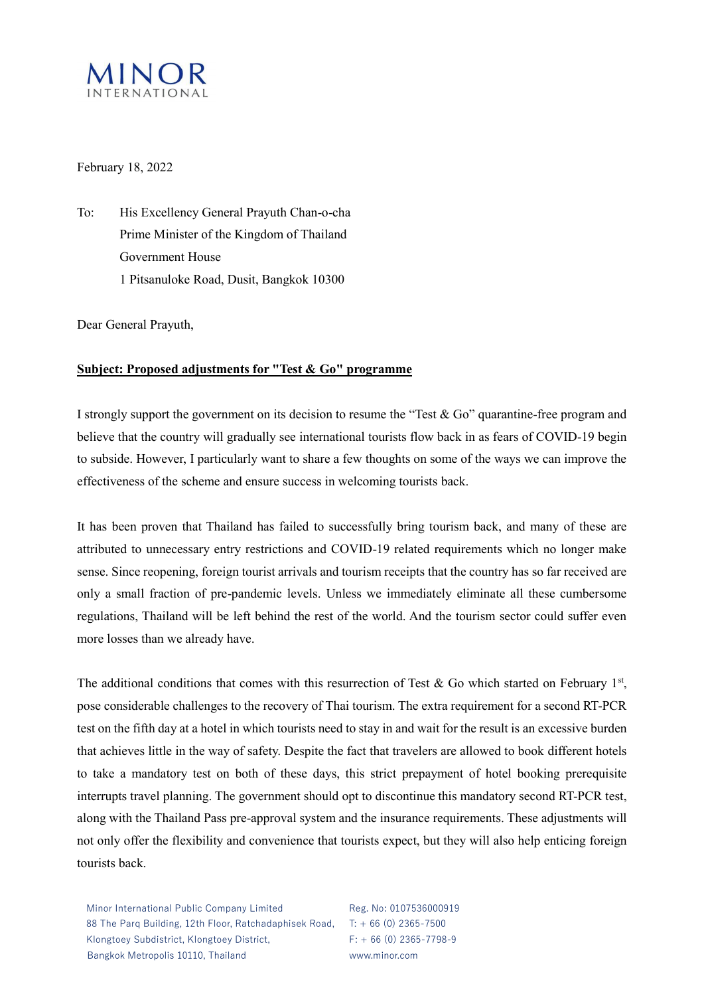

### February 18, 2022

To: His Excellency General Prayuth Chan-o-cha Prime Minister of the Kingdom of Thailand Government House 1 Pitsanuloke Road, Dusit, Bangkok 10300

Dear General Prayuth,

## **Subject: Proposed adjustments for "Test & Go" programme**

I strongly support the government on its decision to resume the "Test & Go" quarantine-free program and believe that the country will gradually see international tourists flow back in as fears of COVID-19 begin to subside. However, I particularly want to share a few thoughts on some of the ways we can improve the effectiveness of the scheme and ensure success in welcoming tourists back.

It has been proven that Thailand has failed to successfully bring tourism back, and many of these are attributed to unnecessary entry restrictions and COVID-19 related requirements which no longer make sense. Since reopening, foreign tourist arrivals and tourism receipts that the country has so far received are only a small fraction of pre-pandemic levels. Unless we immediately eliminate all these cumbersome regulations, Thailand will be left behind the rest of the world. And the tourism sector could suffer even more losses than we already have.

The additional conditions that comes with this resurrection of Test & Go which started on February 1st, pose considerable challenges to the recovery of Thai tourism. The extra requirement for a second RT-PCR test on the fifth day at a hotel in which tourists need to stay in and wait for the result is an excessive burden that achieves little in the way of safety. Despite the fact that travelers are allowed to book different hotels to take a mandatory test on both of these days, this strict prepayment of hotel booking prerequisite interrupts travel planning. The government should opt to discontinue this mandatory second RT-PCR test, along with the Thailand Pass pre-approval system and the insurance requirements. These adjustments will not only offer the flexibility and convenience that tourists expect, but they will also help enticing foreign tourists back.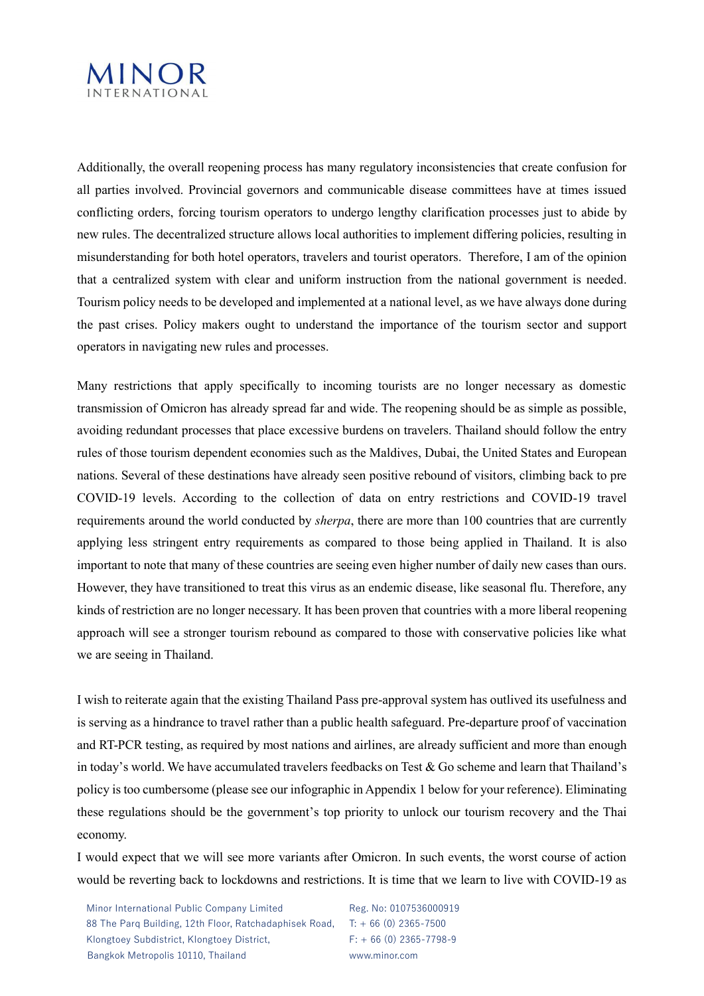

Additionally, the overall reopening process has many regulatory inconsistencies that create confusion for all parties involved. Provincial governors and communicable disease committees have at times issued conflicting orders, forcing tourism operators to undergo lengthy clarification processes just to abide by new rules. The decentralized structure allows local authorities to implement differing policies, resulting in misunderstanding for both hotel operators, travelers and tourist operators. Therefore, I am of the opinion that a centralized system with clear and uniform instruction from the national government is needed. Tourism policy needs to be developed and implemented at a national level, as we have always done during the past crises. Policy makers ought to understand the importance of the tourism sector and support operators in navigating new rules and processes.

Many restrictions that apply specifically to incoming tourists are no longer necessary as domestic transmission of Omicron has already spread far and wide. The reopening should be as simple as possible, avoiding redundant processes that place excessive burdens on travelers. Thailand should follow the entry rules of those tourism dependent economies such as the Maldives, Dubai, the United States and European nations. Several of these destinations have already seen positive rebound of visitors, climbing back to pre COVID-19 levels. According to the collection of data on entry restrictions and COVID-19 travel requirements around the world conducted by *sherpa*, there are more than 100 countries that are currently applying less stringent entry requirements as compared to those being applied in Thailand. It is also important to note that many of these countries are seeing even higher number of daily new cases than ours. However, they have transitioned to treat this virus as an endemic disease, like seasonal flu. Therefore, any kinds of restriction are no longer necessary. It has been proven that countries with a more liberal reopening approach will see a stronger tourism rebound as compared to those with conservative policies like what we are seeing in Thailand.

I wish to reiterate again that the existing Thailand Pass pre-approval system has outlived its usefulness and is serving as a hindrance to travel rather than a public health safeguard. Pre-departure proof of vaccination and RT-PCR testing, as required by most nations and airlines, are already sufficient and more than enough in today's world. We have accumulated travelers feedbacks on Test & Go scheme and learn that Thailand's policy is too cumbersome (please see our infographic in Appendix 1 below for your reference). Eliminating these regulations should be the government's top priority to unlock our tourism recovery and the Thai economy.

I would expect that we will see more variants after Omicron. In such events, the worst course of action would be reverting back to lockdowns and restrictions. It is time that we learn to live with COVID-19 as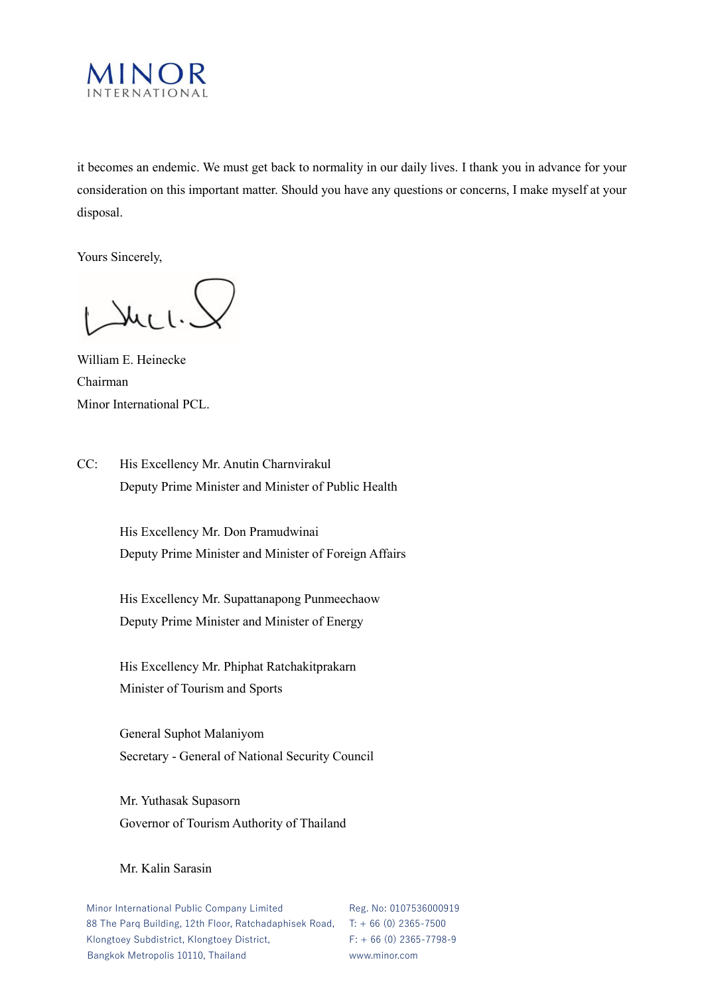

it becomes an endemic. We must get back to normality in our daily lives. I thank you in advance for your consideration on this important matter. Should you have any questions or concerns, I make myself at your disposal.

Yours Sincerely,

Luci.

William E. Heinecke Chairman Minor International PCL.

CC: His Excellency Mr. Anutin Charnvirakul Deputy Prime Minister and Minister of Public Health

> His Excellency Mr. Don Pramudwinai Deputy Prime Minister and Minister of Foreign Affairs

His Excellency Mr. Supattanapong Punmeechaow Deputy Prime Minister and Minister of Energy

His Excellency Mr. Phiphat Ratchakitprakarn Minister of Tourism and Sports

General Suphot Malaniyom Secretary - General of National Security Council

Mr. Yuthasak Supasorn Governor of Tourism Authority of Thailand

### Mr. Kalin Sarasin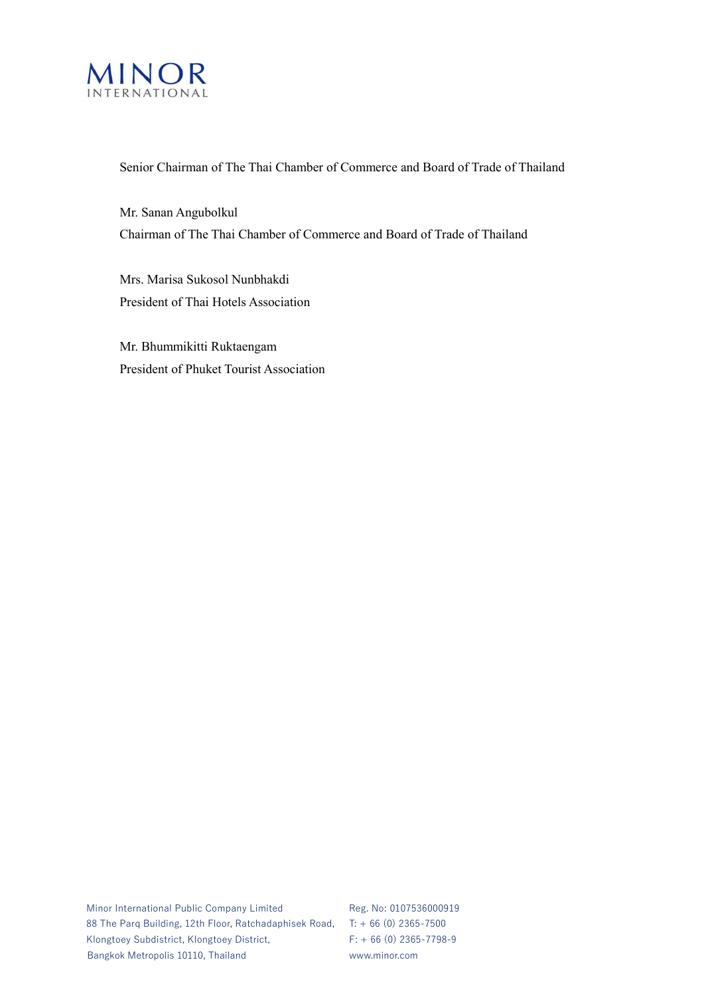

#### Senior Chairman of The Thai Chamber of Commerce and Board of Trade of Thailand

Mr. Sanan Angubolkul Chairman of The Thai Chamber of Commerce and Board of Trade of Thailand

Mrs. Marisa Sukosol Nunbhakdi President of Thai Hotels Association

Mr. Bhummikitti Ruktaengam President of Phuket Tourist Association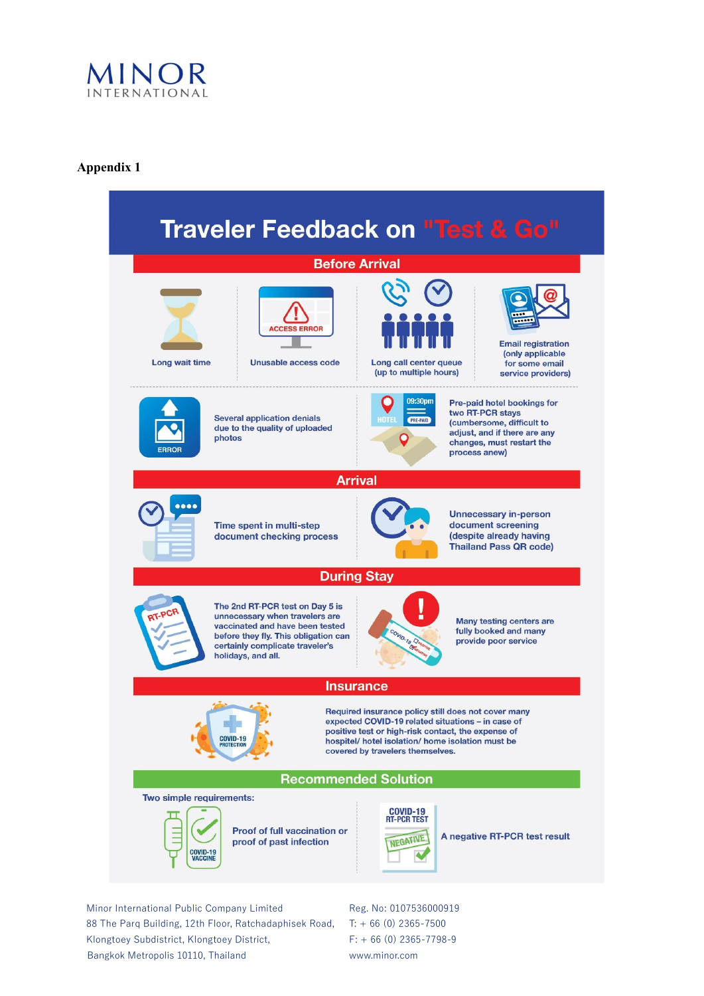

# **[Appendix 1](http://onlinelibrary.wiley.com/doi/10.1002/9780470757888.app1/pdf)**

| <b>Traveler Feedback on "Test &amp; Go"</b>                                                                                                                                                                                                                                                     |                                                                                                                                                                                                   |
|-------------------------------------------------------------------------------------------------------------------------------------------------------------------------------------------------------------------------------------------------------------------------------------------------|---------------------------------------------------------------------------------------------------------------------------------------------------------------------------------------------------|
| <b>Before Arrival</b>                                                                                                                                                                                                                                                                           |                                                                                                                                                                                                   |
| <b>ACCESS ERROR</b><br>Long wait time<br>Unusable access code                                                                                                                                                                                                                                   | <b>Email registration</b><br>(only applicable<br>Long call center queue<br>for some email<br>(up to multiple hours)<br>service providers)                                                         |
| <b>Several application denials</b><br>due to the quality of uploaded<br>photos<br><b>FRROR</b>                                                                                                                                                                                                  | 09:30pm<br>Pre-paid hotel bookings for<br>two RT-PCR stays<br><b>HOTEL</b><br>PRE-PAID<br>(cumbersome, difficult to<br>adjust, and if there are any<br>changes, must restart the<br>process anew) |
| <b>Arrival</b>                                                                                                                                                                                                                                                                                  |                                                                                                                                                                                                   |
| $\bullet\bullet\bullet\bullet$<br>Time spent in multi-step<br>document checking process                                                                                                                                                                                                         | <b>Unnecessary in-person</b><br>document screening<br>despite already having<br><b>Thailand Pass QR code)</b>                                                                                     |
| <b>During Stay</b>                                                                                                                                                                                                                                                                              |                                                                                                                                                                                                   |
| The 2nd RT-PCR test on Day 5 is<br><b>LPCF</b><br>unnecessary when travelers are<br>vaccinated and have been tested<br>before they fly. This obligation can<br>certainly complicate traveler's<br>holidays, and all.                                                                            | <b>Many testing centers are</b><br>fully booked and many<br>COVID-19 Chromin<br>provide poor service                                                                                              |
| <b>Insurance</b>                                                                                                                                                                                                                                                                                |                                                                                                                                                                                                   |
| Required insurance policy still does not cover many<br>expected COVID-19 related situations - in case of<br>positive test or high-risk contact, the expense of<br><b>COVID-19</b><br>hospitel/ hotel isolation/ home isolation must be<br><b>PROTECTION</b><br>covered by travelers themselves. |                                                                                                                                                                                                   |
| <b>Recommended Solution</b>                                                                                                                                                                                                                                                                     |                                                                                                                                                                                                   |
| Two simple requirements:<br><b>COVID-19</b><br>RT-PCR TEST<br>Proof of full vaccination or<br>A negative RT-PCR test result<br><b>NEGATIVE</b><br>proof of past infection<br>COVID-19<br><b>VACCINE</b>                                                                                         |                                                                                                                                                                                                   |